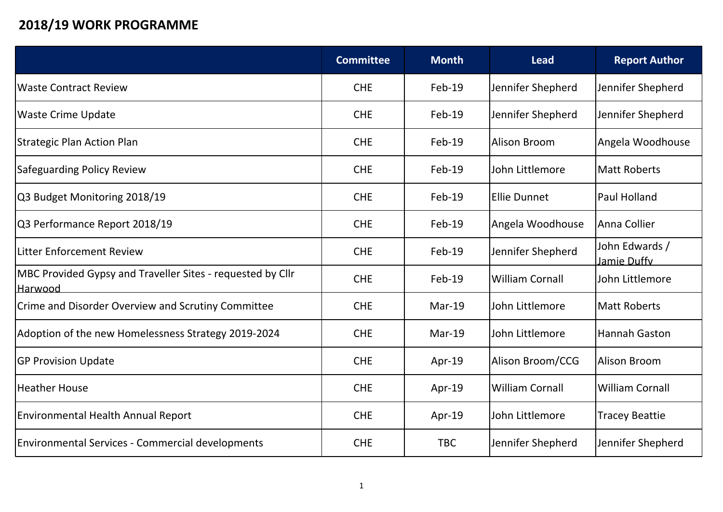## **2018/19 WORK PROGRAMME**

|                                                                       | <b>Committee</b> | <b>Month</b> | <b>Lead</b>            | <b>Report Author</b>          |
|-----------------------------------------------------------------------|------------------|--------------|------------------------|-------------------------------|
| <b>Waste Contract Review</b>                                          | <b>CHE</b>       | Feb-19       | Jennifer Shepherd      | Jennifer Shepherd             |
| <b>Waste Crime Update</b>                                             | <b>CHE</b>       | Feb-19       | Jennifer Shepherd      | Jennifer Shepherd             |
| Strategic Plan Action Plan                                            | <b>CHE</b>       | Feb-19       | Alison Broom           | Angela Woodhouse              |
| Safeguarding Policy Review                                            | <b>CHE</b>       | $Feb-19$     | John Littlemore        | <b>Matt Roberts</b>           |
| Q3 Budget Monitoring 2018/19                                          | <b>CHE</b>       | $Feb-19$     | <b>Ellie Dunnet</b>    | <b>Paul Holland</b>           |
| Q3 Performance Report 2018/19                                         | <b>CHE</b>       | Feb-19       | Angela Woodhouse       | Anna Collier                  |
| Litter Enforcement Review                                             | <b>CHE</b>       | Feb-19       | Jennifer Shepherd      | John Edwards /<br>Jamie Duffy |
| MBC Provided Gypsy and Traveller Sites - requested by Cllr<br>Harwood | <b>CHE</b>       | Feb-19       | <b>William Cornall</b> | John Littlemore               |
| Crime and Disorder Overview and Scrutiny Committee                    | <b>CHE</b>       | $Mar-19$     | John Littlemore        | Matt Roberts                  |
| Adoption of the new Homelessness Strategy 2019-2024                   | <b>CHE</b>       | Mar-19       | John Littlemore        | Hannah Gaston                 |
| <b>GP Provision Update</b>                                            | <b>CHE</b>       | Apr-19       | Alison Broom/CCG       | Alison Broom                  |
| Heather House                                                         | <b>CHE</b>       | Apr-19       | <b>William Cornall</b> | <b>William Cornall</b>        |
| Environmental Health Annual Report                                    | <b>CHE</b>       | Apr-19       | John Littlemore        | <b>Tracey Beattie</b>         |
| Environmental Services - Commercial developments                      | <b>CHE</b>       | <b>TBC</b>   | Jennifer Shepherd      | Jennifer Shepherd             |